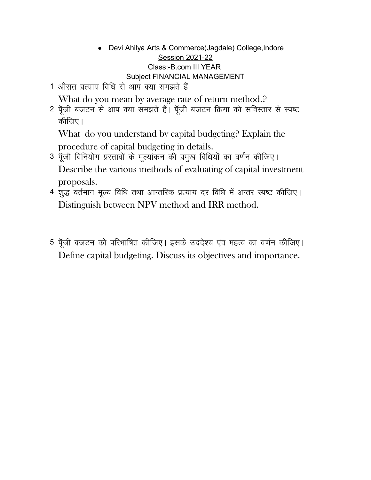- Devi Ahilya Arts & Commerce(Jagdale) College,Indore Session 2021-22 Class:-B.com III YEAR Subject FINANCIAL MANAGEMENT
- 1 औसत प्रत्याय विधि से आप क्या समझते हैं

What do you mean by average rate of return method.<sup>2</sup>

2 पूँजी बजटन से आप क्या समझते हैं। पूँजी बजटन क्रिया को सविस्तार से स्पष्ट कीजिए।

What do you understand by capital budgeting? Explain the procedure of capital budgeting in details.

- 3 पूँजी विनियोग प्रस्तावों के मूल्यांकन की प्रमुख विधियों का वर्णन कीजिए। Describe the various methods of evaluating of capital investment proposals.
- 4 शुद्ध वर्तमान मूल्य विधि तथा आन्तरिक प्रत्याय दर विधि में अन्तर स्पष्ट कीजिए। Distinguish between NPV method and IRR method.
- 5 पूँजी बजटन को परिभाषित कीजिए। इसके उददेश्य एंव महत्व का वर्णन कीजिए। Define capital budgeting. Discuss its objectives and importance.